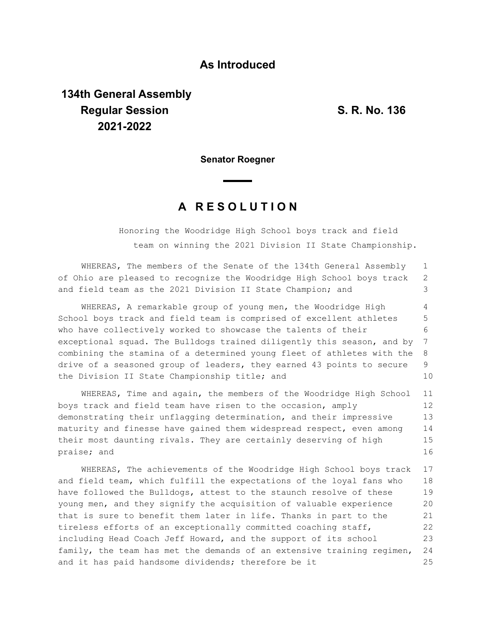## **As Introduced**

## **134th General Assembly Regular Session S. R. No. 136 2021-2022**

1

24 25

**Senator Roegner**

## **A R E S O L U T I O N**

WHEREAS, The members of the Senate of the 134th General Assembly

Honoring the Woodridge High School boys track and field team on winning the 2021 Division II State Championship.

of Ohio are pleased to recognize the Woodridge High School boys track and field team as the 2021 Division II State Champion; and WHEREAS, A remarkable group of young men, the Woodridge High School boys track and field team is comprised of excellent athletes who have collectively worked to showcase the talents of their exceptional squad. The Bulldogs trained diligently this season, and by combining the stamina of a determined young fleet of athletes with the drive of a seasoned group of leaders, they earned 43 points to secure the Division II State Championship title; and WHEREAS, Time and again, the members of the Woodridge High School boys track and field team have risen to the occasion, amply demonstrating their unflagging determination, and their impressive maturity and finesse have gained them widespread respect, even among their most daunting rivals. They are certainly deserving of high praise; and WHEREAS, The achievements of the Woodridge High School boys track and field team, which fulfill the expectations of the loyal fans who have followed the Bulldogs, attest to the staunch resolve of these young men, and they signify the acquisition of valuable experience that is sure to benefit them later in life. Thanks in part to the tireless efforts of an exceptionally committed coaching staff, including Head Coach Jeff Howard, and the support of its school 2 3 4 5 6 7 8 9 10 11 12 13 14 15 16 17 18 19 20 21 22 23

family, the team has met the demands of an extensive training regimen,

and it has paid handsome dividends; therefore be it